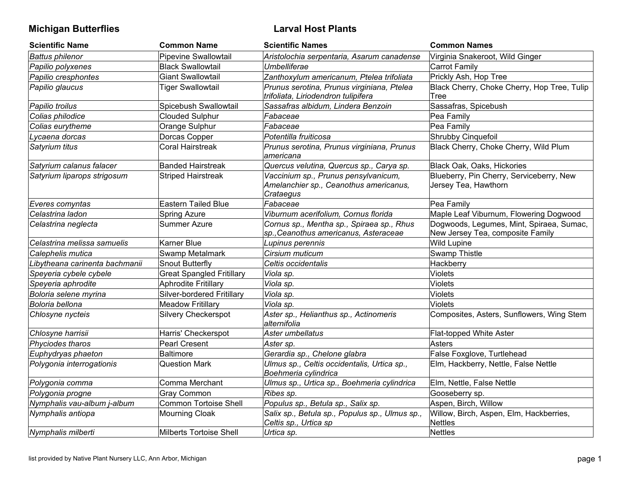# **Michigan Butterflies Larval Host Plants**

| <b>Scientific Name</b>         | <b>Common Name</b>               | <b>Scientific Names</b>                                                                     | <b>Common Names</b>                                                          |
|--------------------------------|----------------------------------|---------------------------------------------------------------------------------------------|------------------------------------------------------------------------------|
| <b>Battus philenor</b>         | Pipevine Swallowtail             | Aristolochia serpentaria, Asarum canadense                                                  | Virginia Snakeroot, Wild Ginger                                              |
| Papilio polyxenes              | <b>Black Swallowtail</b>         | Umbelliferae                                                                                | <b>Carrot Family</b>                                                         |
| Papilio cresphontes            | Giant Swallowtail                | Zanthoxylum americanum, Ptelea trifoliata                                                   | Prickly Ash, Hop Tree                                                        |
| Papilio glaucus                | <b>Tiger Swallowtail</b>         | Prunus serotina, Prunus virginiana, Ptelea<br>trifoliata, Liriodendron tulipifera           | Black Cherry, Choke Cherry, Hop Tree, Tulip<br>Tree                          |
| Papilio troilus                | Spicebush Swallowtail            | Sassafras albidum, Lindera Benzoin                                                          | Sassafras, Spicebush                                                         |
| Colias philodice               | <b>Clouded Sulphur</b>           | Fabaceae                                                                                    | Pea Family                                                                   |
| Colias eurytheme               | Orange Sulphur                   | Fabaceae                                                                                    | Pea Family                                                                   |
| Lycaena dorcas                 | Dorcas Copper                    | Potentilla fruiticosa                                                                       | Shrubby Cinquefoil                                                           |
| Satyrium titus                 | <b>Coral Hairstreak</b>          | Prunus serotina, Prunus virginiana, Prunus<br>lamericana                                    | Black Cherry, Choke Cherry, Wild Plum                                        |
| Satyrium calanus falacer       | <b>Banded Hairstreak</b>         | Quercus velutina, Quercus sp., Carya sp.                                                    | Black Oak, Oaks, Hickories                                                   |
| Satyrium liparops strigosum    | <b>Striped Hairstreak</b>        | Vaccinium sp., Prunus pensylvanicum,<br>Amelanchier sp., Ceanothus americanus,<br>Crataegus | Blueberry, Pin Cherry, Serviceberry, New<br>Jersey Tea, Hawthorn             |
| Everes comyntas                | <b>Eastern Tailed Blue</b>       | Fabaceae                                                                                    | Pea Family                                                                   |
| Celastrina ladon               | Spring Azure                     | Viburnum acerifolium, Cornus florida                                                        | Maple Leaf Viburnum, Flowering Dogwood                                       |
| Celastrina neglecta            | Summer Azure                     | Cornus sp., Mentha sp., Spiraea sp., Rhus<br>sp., Ceanothus americanus, Asteraceae          | Dogwoods, Legumes, Mint, Spiraea, Sumac,<br>New Jersey Tea, composite Family |
| Celastrina melissa samuelis    | Karner Blue                      | Lupinus perennis                                                                            | <b>Wild Lupine</b>                                                           |
| Calephelis mutica              | Swamp Metalmark                  | Cirsium muticum                                                                             | Swamp Thistle                                                                |
| Libytheana carinenta bachmanii | Snout Butterfly                  | Celtis occidentalis                                                                         | Hackberry                                                                    |
| Speyeria cybele cybele         | <b>Great Spangled Fritillary</b> | Viola sp.                                                                                   | <b>Violets</b>                                                               |
| Speyeria aphrodite             | Aphrodite Fritillary             | Viola sp.                                                                                   | <b>Violets</b>                                                               |
| Boloria selene myrina          | Silver-bordered Fritillary       | Viola sp.                                                                                   | Violets                                                                      |
| Boloria bellona                | <b>Meadow Fritillary</b>         | Viola sp.                                                                                   | <b>Violets</b>                                                               |
| Chlosyne nycteis               | Silvery Checkerspot              | Aster sp., Helianthus sp., Actinomeris<br>alternifolia                                      | Composites, Asters, Sunflowers, Wing Stem                                    |
| Chlosyne harrisii              | Harris' Checkerspot              | Aster umbellatus                                                                            | Flat-topped White Aster                                                      |
| Phyciodes tharos               | <b>Pearl Cresent</b>             | Aster sp.                                                                                   | <b>Asters</b>                                                                |
| Euphydryas phaeton             | <b>Baltimore</b>                 | Gerardia sp., Chelone glabra                                                                | False Foxglove, Turtlehead                                                   |
| Polygonia interrogationis      | <b>Question Mark</b>             | Ulmus sp., Celtis occidentalis, Urtica sp.,<br>Boehmeria cylindrica                         | Elm, Hackberry, Nettle, False Nettle                                         |
| Polygonia comma                | Comma Merchant                   | Ulmus sp., Urtica sp., Boehmeria cylindrica                                                 | Elm, Nettle, False Nettle                                                    |
| Polygonia progne               | <b>Gray Common</b>               | Ribes sp.                                                                                   | Gooseberry sp.                                                               |
| Nymphalis vau-album j-album    | Common Tortoise Shell            | Populus sp., Betula sp., Salix sp.                                                          | Aspen, Birch, Willow                                                         |
| Nymphalis antiopa              | Mourning Cloak                   | Salix sp., Betula sp., Populus sp., Ulmus sp.,<br>Celtis sp., Urtica sp                     | Willow, Birch, Aspen, Elm, Hackberries,<br><b>Nettles</b>                    |
| Nymphalis milberti             | Milberts Tortoise Shell          | Urtica sp.                                                                                  | <b>Nettles</b>                                                               |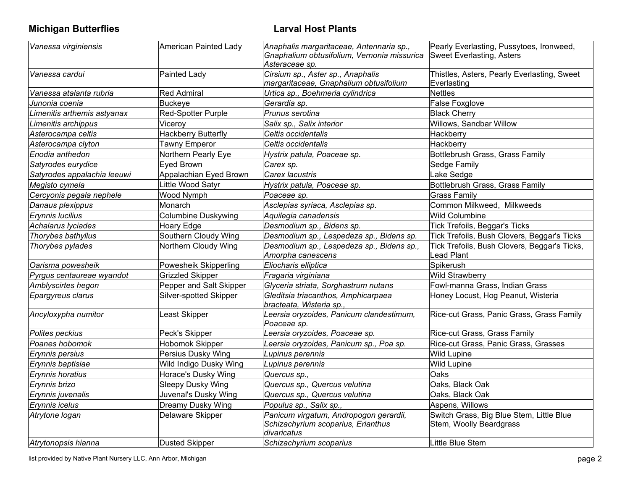# **Michigan Butterflies Larval Host Plants**

| Vanessa virginiensis        | American Painted Lady      | Anaphalis margaritaceae, Antennaria sp.,<br>Gnaphalium obtusifolium, Vernonia missurica<br>Asteraceae sp. | Pearly Everlasting, Pussytoes, Ironweed,<br><b>Sweet Everlasting, Asters</b> |
|-----------------------------|----------------------------|-----------------------------------------------------------------------------------------------------------|------------------------------------------------------------------------------|
| Vanessa cardui              | Painted Lady               | Cirsium sp., Aster sp., Anaphalis<br>margaritaceae, Gnaphalium obtusifolium                               | Thistles, Asters, Pearly Everlasting, Sweet<br>Everlasting                   |
| Vanessa atalanta rubria     | Red Admiral                | Urtica sp., Boehmeria cylindrica                                                                          | <b>Nettles</b>                                                               |
| Junonia coenia              | Buckeye                    | Gerardia sp.                                                                                              | <b>False Foxglove</b>                                                        |
| Limenitis arthemis astyanax | Red-Spotter Purple         | Prunus serotina                                                                                           | <b>Black Cherry</b>                                                          |
| Limenitis archippus         | Viceroy                    | Salix sp., Salix interior                                                                                 | Willows, Sandbar Willow                                                      |
| Asterocampa celtis          | <b>Hackberry Butterfly</b> | Celtis occidentalis                                                                                       | Hackberry                                                                    |
| Asterocampa clyton          | <b>Tawny Emperor</b>       | Celtis occidentalis                                                                                       | Hackberry                                                                    |
| Enodia anthedon             | Northern Pearly Eye        | Hystrix patula, Poaceae sp.                                                                               | Bottlebrush Grass, Grass Family                                              |
| Satyrodes eurydice          | Eyed Brown                 | Carex sp.                                                                                                 | Sedge Family                                                                 |
| Satyrodes appalachia leeuwi | Appalachian Eyed Brown     | Carex lacustris                                                                                           | Lake Sedge                                                                   |
| Megisto cymela              | Little Wood Satyr          | Hystrix patula, Poaceae sp.                                                                               | Bottlebrush Grass, Grass Family                                              |
| Cercyonis pegala nephele    | Wood Nymph                 | Poaceae sp.                                                                                               | <b>Grass Family</b>                                                          |
| Danaus plexippus            | Monarch                    | Asclepias syriaca, Asclepias sp.                                                                          | Common Milkweed, Milkweeds                                                   |
| Erynnis lucilius            | <b>Columbine Duskywing</b> | Aquilegia canadensis                                                                                      | <b>Wild Columbine</b>                                                        |
| Achalarus lyciades          | Hoary Edge                 | Desmodium sp., Bidens sp.                                                                                 | Tick Trefoils, Beggar's Ticks                                                |
| Thorybes bathyllus          | Southern Cloudy Wing       | Desmodium sp., Lespedeza sp., Bidens sp.                                                                  | Tick Trefoils, Bush Clovers, Beggar's Ticks                                  |
| Thorybes pylades            | Northern Cloudy Wing       | Desmodium sp., Lespedeza sp., Bidens sp.,<br>Amorpha canescens                                            | Tick Trefoils, Bush Clovers, Beggar's Ticks,<br><b>Lead Plant</b>            |
| Oarisma powesheik           | Powesheik Skipperling      | Eliocharis elliptica                                                                                      | Spikerush                                                                    |
| Pyrgus centaureae wyandot   | <b>Grizzled Skipper</b>    | Fragaria virginiana                                                                                       | <b>Wild Strawberry</b>                                                       |
| Amblyscirtes hegon          | Pepper and Salt Skipper    | Glyceria striata, Sorghastrum nutans                                                                      | Fowl-manna Grass, Indian Grass                                               |
| Epargyreus clarus           | Silver-spotted Skipper     | Gleditsia triacanthos, Amphicarpaea<br>bracteata, Wisteria sp.,                                           | Honey Locust, Hog Peanut, Wisteria                                           |
| Ancyloxypha numitor         | Least Skipper              | Leersia oryzoides, Panicum clandestimum,<br>Poaceae sp.                                                   | Rice-cut Grass, Panic Grass, Grass Family                                    |
| Polites peckius             | Peck's Skipper             | Leersia oryzoides, Poaceae sp.                                                                            | Rice-cut Grass, Grass Family                                                 |
| Poanes hobomok              | Hobomok Skipper            | Leersia oryzoides, Panicum sp., Poa sp.                                                                   | Rice-cut Grass, Panic Grass, Grasses                                         |
| Erynnis persius             | Persius Dusky Wing         | Lupinus perennis                                                                                          | <b>Wild Lupine</b>                                                           |
| Erynnis baptisiae           | Wild Indigo Dusky Wing     | Lupinus perennis                                                                                          | <b>Wild Lupine</b>                                                           |
| Erynnis horatius            | Horace's Dusky Wing        | Quercus sp.,                                                                                              | Oaks                                                                         |
| Erynnis brizo               | Sleepy Dusky Wing          | Quercus sp., Quercus velutina                                                                             | Oaks, Black Oak                                                              |
| Erynnis juvenalis           | Juvenal's Dusky Wing       | Quercus sp., Quercus velutina                                                                             | Oaks, Black Oak                                                              |
| Erynnis icelus              | Dreamy Dusky Wing          | Populus sp., Salix sp.,                                                                                   | Aspens, Willows                                                              |
| Atrytone logan              | Delaware Skipper           | Panicum virgatum, Andropogon gerardii,<br>Schizachyrium scoparius, Erianthus<br>divaricatus               | Switch Grass, Big Blue Stem, Little Blue<br>Stem, Woolly Beardgrass          |
| Atrytonopsis hianna         | Dusted Skipper             | Schizachyrium scoparius                                                                                   | Little Blue Stem                                                             |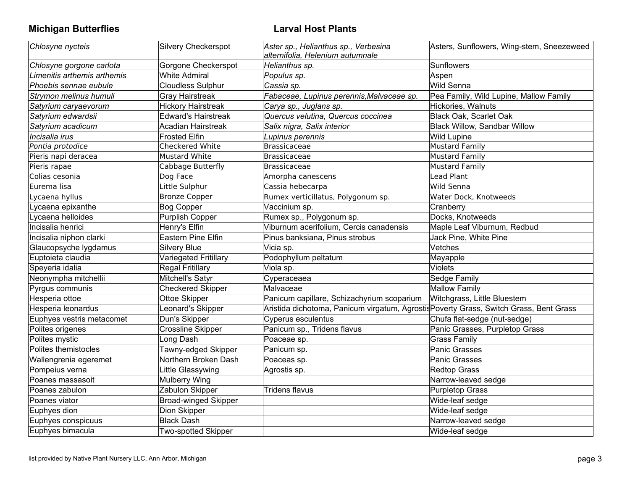**Michigan Butterflies Larval Host Plants**

| Chlosyne nycteis            | Silvery Checkerspot         | Aster sp., Helianthus sp., Verbesina<br>alternifolia, Helenium autumnale               | Asters, Sunflowers, Wing-stem, Sneezeweed |
|-----------------------------|-----------------------------|----------------------------------------------------------------------------------------|-------------------------------------------|
| Chlosyne gorgone carlota    | Gorgone Checkerspot         | Helianthus sp.                                                                         | Sunflowers                                |
| Limenitis arthemis arthemis | <b>White Admiral</b>        | Populus sp.                                                                            | Aspen                                     |
| Phoebis sennae eubule       | <b>Cloudless Sulphur</b>    | Cassia sp.                                                                             | Wild Senna                                |
| Strymon melinus humuli      | <b>Gray Hairstreak</b>      | Fabaceae, Lupinus perennis, Malvaceae sp.                                              | Pea Family, Wild Lupine, Mallow Family    |
| Satyrium caryaevorum        | <b>Hickory Hairstreak</b>   | Carya sp., Juglans sp.                                                                 | Hickories, Walnuts                        |
| Satyrium edwardsii          | <b>Edward's Hairstreak</b>  | Quercus velutina, Quercus coccinea                                                     | Black Oak, Scarlet Oak                    |
| Satyrium acadicum           | Acadian Hairstreak          | Salix nigra, Salix interior                                                            | <b>Black Willow, Sandbar Willow</b>       |
| Incisalia irus              | <b>Frosted Elfin</b>        | Lupinus perennis                                                                       | <b>Wild Lupine</b>                        |
| Pontia protodice            | Checkered White             | Brassicaceae                                                                           | <b>Mustard Family</b>                     |
| Pieris napi deracea         | <b>Mustard White</b>        | Brassicaceae                                                                           | <b>Mustard Family</b>                     |
| Pieris rapae                | Cabbage Butterfly           | Brassicaceae                                                                           | <b>Mustard Family</b>                     |
| Colias cesonia              | Dog Face                    | Amorpha canescens                                                                      | Lead Plant                                |
| Eurema lisa                 | Little Sulphur              | Cassia hebecarpa                                                                       | Wild Senna                                |
| Lycaena hyllus              | <b>Bronze Copper</b>        | Rumex verticillatus, Polygonum sp.                                                     | Water Dock, Knotweeds                     |
| Lycaena epixanthe           | <b>Bog Copper</b>           | Vaccinium sp.                                                                          | Cranberry                                 |
| Lycaena helloides           | <b>Purplish Copper</b>      | Rumex sp., Polygonum sp.                                                               | Docks, Knotweeds                          |
| Incisalia henrici           | Henry's Elfin               | Viburnum acerifolium, Cercis canadensis                                                | Maple Leaf Viburnum, Redbud               |
| Incisalia niphon clarki     | Eastern Pine Elfin          | Pinus banksiana, Pinus strobus                                                         | Jack Pine, White Pine                     |
| Glaucopsyche lygdamus       | <b>Silvery Blue</b>         | Vicia sp.                                                                              | Vetches                                   |
| Euptoieta claudia           | Variegated Fritillary       | Podophyllum peltatum                                                                   | Mayapple                                  |
| Speyeria idalia             | <b>Regal Fritillary</b>     | Viola sp.                                                                              | <b>Violets</b>                            |
| Neonympha mitchellii        | Mitchell's Satyr            | Cyperaceaea                                                                            | Sedge Family                              |
| Pyrgus communis             | <b>Checkered Skipper</b>    | Malvaceae                                                                              | <b>Mallow Family</b>                      |
| Hesperia ottoe              | Ottoe Skipper               | Panicum capillare, Schizachyrium scoparium                                             | Witchgrass, Little Bluestem               |
| Hesperia leonardus          | Leonard's Skipper           | Aristida dichotoma, Panicum virgatum, Agrostis Poverty Grass, Switch Grass, Bent Grass |                                           |
| Euphyes vestris metacomet   | Dun's Skipper               | Cyperus esculentus                                                                     | Chufa flat-sedge (nut-sedge)              |
| Polites origenes            | <b>Crossline Skipper</b>    | Panicum sp., Tridens flavus                                                            | Panic Grasses, Purpletop Grass            |
| Polites mystic              | Long Dash                   | Poaceae sp.                                                                            | <b>Grass Family</b>                       |
| Polites themistocles        | Tawny-edged Skipper         | Panicum sp.                                                                            | Panic Grasses                             |
| Wallengrenia egeremet       | Northern Broken Dash        | Poaceas sp.                                                                            | Panic Grasses                             |
| Pompeius verna              | Little Glassywing           | Agrostis sp.                                                                           | <b>Redtop Grass</b>                       |
| Poanes massasoit            | <b>Mulberry Wing</b>        |                                                                                        | Narrow-leaved sedge                       |
| Poanes zabulon              | Zabulon Skipper             | Tridens flavus                                                                         | <b>Purpletop Grass</b>                    |
| Poanes viator               | <b>Broad-winged Skipper</b> |                                                                                        | Wide-leaf sedge                           |
| Euphyes dion                | Dion Skipper                |                                                                                        | Wide-leaf sedge                           |
| Euphyes conspicuus          | <b>Black Dash</b>           |                                                                                        | Narrow-leaved sedge                       |
| Euphyes bimacula            | <b>Two-spotted Skipper</b>  |                                                                                        | Wide-leaf sedge                           |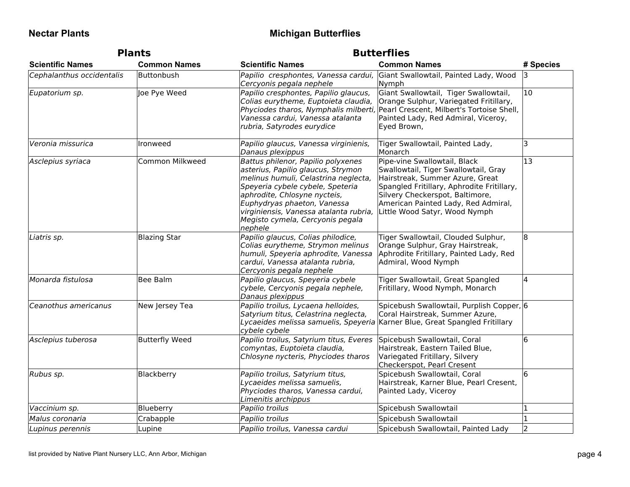## **Nectar Plants Michigan Butterflies**

| <b>Plants</b>             |                       | <b>Butterflies</b>                                                                                                                                                                                                                                                                                           |                                                                                                                                                                                                                                                                  |              |
|---------------------------|-----------------------|--------------------------------------------------------------------------------------------------------------------------------------------------------------------------------------------------------------------------------------------------------------------------------------------------------------|------------------------------------------------------------------------------------------------------------------------------------------------------------------------------------------------------------------------------------------------------------------|--------------|
| <b>Scientific Names</b>   | <b>Common Names</b>   | <b>Scientific Names</b>                                                                                                                                                                                                                                                                                      | <b>Common Names</b>                                                                                                                                                                                                                                              | # Species    |
| Cephalanthus occidentalis | Buttonbush            | Cercyonis pegala nephele                                                                                                                                                                                                                                                                                     | Papilio cresphontes, Vanessa cardui, Giant Swallowtail, Painted Lady, Wood<br>Nymph                                                                                                                                                                              | 13           |
| Eupatorium sp.            | Joe Pye Weed          | Papilio cresphontes, Papilio glaucus,<br>Colias eurytheme, Euptoieta claudia,<br>Vanessa cardui, Vanessa atalanta<br>rubria, Satyrodes eurydice                                                                                                                                                              | Giant Swallowtail, Tiger Swallowtail,<br>Orange Sulphur, Variegated Fritillary,<br>Phyciodes tharos, Nymphalis milberti, Pearl Crescent, Milbert's Tortoise Shell,<br>Painted Lady, Red Admiral, Viceroy,<br>Eyed Brown,                                         | $ 10\rangle$ |
| Veronia missurica         | Ironweed              | Papilio glaucus, Vanessa virginienis,<br>Danaus plexippus                                                                                                                                                                                                                                                    | Tiger Swallowtail, Painted Lady,<br>Monarch                                                                                                                                                                                                                      | 3            |
| Asclepius syriaca         | Common Milkweed       | Battus philenor, Papilio polyxenes<br>asterius, Papilio glaucus, Strymon<br>melinus humuli, Celastrina neglecta,<br>Speyeria cybele cybele, Speteria<br>aphrodite, Chlosyne nycteis,<br>Euphydryas phaeton, Vanessa<br>virginiensis, Vanessa atalanta rubria,<br>Megisto cymela, Cercyonis pegala<br>nephele | Pipe-vine Swallowtail, Black<br>Swallowtail, Tiger Swallowtail, Gray<br>Hairstreak, Summer Azure, Great<br>Spangled Fritillary, Aphrodite Fritillary,<br>Silvery Checkerspot, Baltimore,<br>American Painted Lady, Red Admiral,<br>Little Wood Satyr, Wood Nymph | 13           |
| Liatris sp.               | <b>Blazing Star</b>   | Papilio glaucus, Colias philodice,<br>Colias eurytheme, Strymon melinus<br>humuli, Speyeria aphrodite, Vanessa<br>cardui, Vanessa atalanta rubria,<br>Cercyonis pegala nephele                                                                                                                               | Tiger Swallowtail, Clouded Sulphur,<br>Orange Sulphur, Gray Hairstreak,<br>Aphrodite Fritillary, Painted Lady, Red<br>Admiral, Wood Nymph                                                                                                                        | 8            |
| Monarda fistulosa         | Bee Balm              | Papilio glaucus, Speyeria cybele<br>cybele, Cercyonis pegala nephele,<br>Danaus plexippus                                                                                                                                                                                                                    | Tiger Swallowtail, Great Spangled<br>Fritillary, Wood Nymph, Monarch                                                                                                                                                                                             | IΔ           |
| Ceanothus americanus      | New Jersey Tea        | Papilio troilus, Lycaena helloides,<br>Satyrium titus, Celastrina neglecta,<br>cybele cybele                                                                                                                                                                                                                 | Spicebush Swallowtail, Purplish Copper, 6<br>Coral Hairstreak, Summer Azure,<br>Lycaeides melissa samuelis, Speyeria Karner Blue, Great Spangled Fritillary                                                                                                      |              |
| Asclepius tuberosa        | <b>Butterfly Weed</b> | Papilio troilus, Satyrium titus, Everes<br>comyntas, Euptoieta claudia,<br>Chlosyne nycteris, Phyciodes tharos                                                                                                                                                                                               | Spicebush Swallowtail, Coral<br>Hairstreak, Eastern Tailed Blue,<br>Variegated Fritillary, Silvery<br>Checkerspot, Pearl Cresent                                                                                                                                 | 16           |
| Rubus sp.                 | Blackberry            | Papilio troilus, Satyrium titus,<br>Lycaeides melissa samuelis,<br>Phyciodes tharos, Vanessa cardui,<br>Limenitis archippus                                                                                                                                                                                  | Spicebush Swallowtail, Coral<br>Hairstreak, Karner Blue, Pearl Cresent,<br>Painted Lady, Viceroy                                                                                                                                                                 | l6.          |
| Vaccinium sp.             | Blueberry             | Papilio troilus                                                                                                                                                                                                                                                                                              | Spicebush Swallowtail                                                                                                                                                                                                                                            | 1            |
| Malus coronaria           | Crabapple             | Papilio troilus                                                                                                                                                                                                                                                                                              | Spicebush Swallowtail                                                                                                                                                                                                                                            | 1            |
| Lupinus perennis          | Lupine                | Papilio troilus, Vanessa cardui                                                                                                                                                                                                                                                                              | Spicebush Swallowtail, Painted Lady                                                                                                                                                                                                                              | 2            |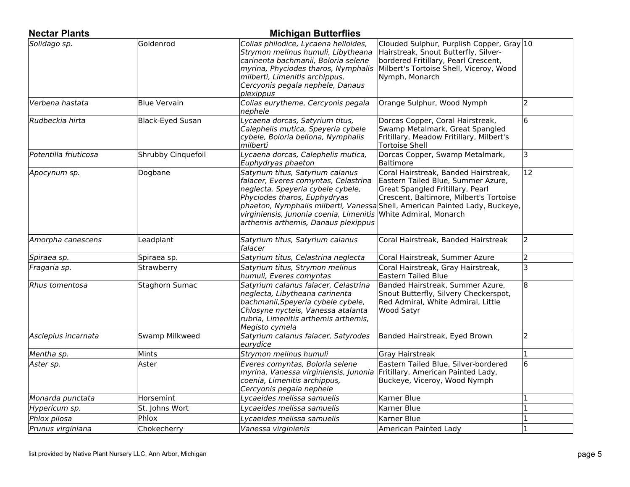| <b>Nectar Plants</b>  |                    | <b>Michigan Butterflies</b>                                                                                                                                                                                                                            |                                                                                                                                                                                                                                          |              |
|-----------------------|--------------------|--------------------------------------------------------------------------------------------------------------------------------------------------------------------------------------------------------------------------------------------------------|------------------------------------------------------------------------------------------------------------------------------------------------------------------------------------------------------------------------------------------|--------------|
| Solidago sp.          | Goldenrod          | Colias philodice, Lycaena helloides,<br>Strymon melinus humuli, Libytheana<br>carinenta bachmanii, Boloria selene<br>myrina, Phyciodes tharos, Nymphalis<br>milberti, Limenitis archippus,<br>Cercyonis pegala nephele, Danaus<br>plexippus            | Clouded Sulphur, Purplish Copper, Gray 10<br>Hairstreak, Snout Butterfly, Silver-<br>bordered Fritillary, Pearl Crescent,<br>Milbert's Tortoise Shell, Viceroy, Wood<br>Nymph, Monarch                                                   |              |
| Verbena hastata       | Blue Vervain       | Colias eurytheme, Cercyonis pegala<br>nephele                                                                                                                                                                                                          | Orange Sulphur, Wood Nymph                                                                                                                                                                                                               | 2            |
| Rudbeckia hirta       | Black-Eyed Susan   | Lycaena dorcas, Satyrium titus,<br>Calephelis mutica, Speyeria cybele<br>cybele, Boloria bellona, Nymphalis<br>milberti                                                                                                                                | Dorcas Copper, Coral Hairstreak,<br>Swamp Metalmark, Great Spangled<br>Fritillary, Meadow Fritillary, Milbert's<br><b>Tortoise Shell</b>                                                                                                 | 6            |
| Potentilla friuticosa | Shrubby Cinquefoil | Lycaena dorcas, Calephelis mutica,<br>Euphydryas phaeton                                                                                                                                                                                               | Dorcas Copper, Swamp Metalmark,<br><b>Baltimore</b>                                                                                                                                                                                      | 3            |
| Apocynum sp.          | Dogbane            | Satyrium titus, Satyrium calanus<br>falacer, Everes comyntas, Celastrina<br>neglecta, Speyeria cybele cybele,<br>Phyciodes tharos, Euphydryas<br>virginiensis, Junonia coenia, Limenitis White Admiral, Monarch<br>arthemis arthemis, Danaus plexippus | Coral Hairstreak, Banded Hairstreak,<br>Eastern Tailed Blue, Summer Azure,<br>Great Spangled Fritillary, Pearl<br>Crescent, Baltimore, Milbert's Tortoise<br>phaeton, Nymphalis milberti, Vanessa Shell, American Painted Lady, Buckeye, | $ 12\rangle$ |
| Amorpha canescens     | Leadplant          | Satyrium titus, Satyrium calanus<br>falacer                                                                                                                                                                                                            | Coral Hairstreak, Banded Hairstreak                                                                                                                                                                                                      | 2            |
| Spiraea sp.           | Spiraea sp.        | Satyrium titus, Celastrina neglecta                                                                                                                                                                                                                    | Coral Hairstreak, Summer Azure                                                                                                                                                                                                           | 2            |
| Fragaria sp.          | Strawberry         | Satyrium titus, Strymon melinus<br>humuli, Everes comyntas                                                                                                                                                                                             | Coral Hairstreak, Gray Hairstreak,<br>Eastern Tailed Blue                                                                                                                                                                                | 3            |
| Rhus tomentosa        | Staghorn Sumac     | Satyrium calanus falacer, Celastrina<br>neglecta, Libytheana carinenta<br>bachmanii, Speyeria cybele cybele,<br>Chlosyne nycteis, Vanessa atalanta<br>rubria, Limenitis arthemis arthemis,<br>Megisto cymela                                           | Banded Hairstreak, Summer Azure,<br>Snout Butterfly, Silvery Checkerspot,<br>Red Admiral, White Admiral, Little<br><b>Wood Satyr</b>                                                                                                     | 8            |
| Asclepius incarnata   | Swamp Milkweed     | Satyrium calanus falacer, Satyrodes<br>eurydice                                                                                                                                                                                                        | Banded Hairstreak, Eyed Brown                                                                                                                                                                                                            | 2            |
| Mentha sp.            | Mints              | Strymon melinus humuli                                                                                                                                                                                                                                 | Gray Hairstreak                                                                                                                                                                                                                          | 1            |
| Aster sp.             | Aster              | Everes comyntas, Boloria selene<br>myrina, Vanessa virginiensis, Junonia<br>coenia, Limenitis archippus,<br>Cercyonis pegala nephele                                                                                                                   | Eastern Tailed Blue, Silver-bordered<br>Fritillary, American Painted Lady,<br>Buckeye, Viceroy, Wood Nymph                                                                                                                               | 6            |
| Monarda punctata      | Horsemint          | Lycaeides melissa samuelis                                                                                                                                                                                                                             | Karner Blue                                                                                                                                                                                                                              | 1            |
| Hypericum sp.         | St. Johns Wort     | Lycaeides melissa samuelis                                                                                                                                                                                                                             | Karner Blue                                                                                                                                                                                                                              | 1            |
| Phlox pilosa          | Phlox              | Lycaeides melissa samuelis                                                                                                                                                                                                                             | Karner Blue                                                                                                                                                                                                                              | 1            |
| Prunus virginiana     | Chokecherry        | Vanessa virginienis                                                                                                                                                                                                                                    | American Painted Lady                                                                                                                                                                                                                    | 1            |